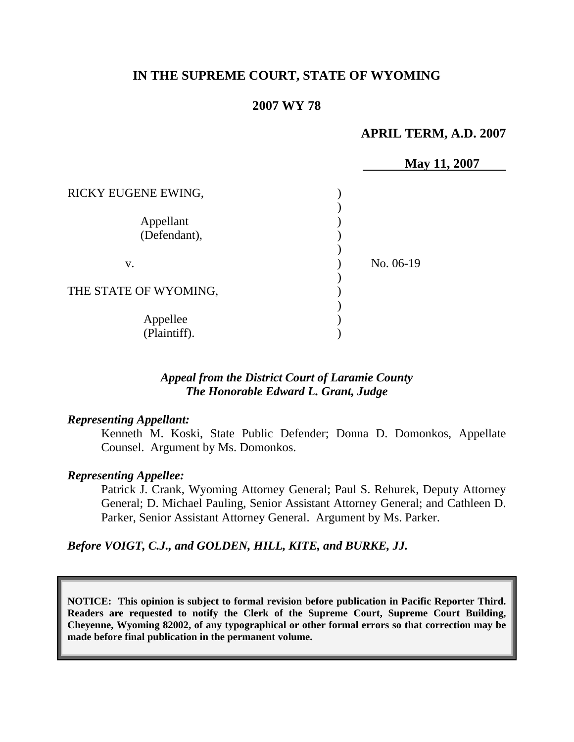# **IN THE SUPREME COURT, STATE OF WYOMING**

## **2007 WY 78**

## **APRIL TERM, A.D. 2007**

|                       |           | May 11, 2007 |
|-----------------------|-----------|--------------|
|                       |           |              |
| RICKY EUGENE EWING,   |           |              |
|                       |           |              |
| Appellant             |           |              |
| (Defendant),          |           |              |
|                       |           |              |
| V.                    | No. 06-19 |              |
|                       |           |              |
| THE STATE OF WYOMING, |           |              |
|                       |           |              |
| Appellee              |           |              |
| (Plaintiff).          |           |              |

## *Appeal from the District Court of Laramie County The Honorable Edward L. Grant, Judge*

#### *Representing Appellant:*

Kenneth M. Koski, State Public Defender; Donna D. Domonkos, Appellate Counsel. Argument by Ms. Domonkos.

#### *Representing Appellee:*

Patrick J. Crank, Wyoming Attorney General; Paul S. Rehurek, Deputy Attorney General; D. Michael Pauling, Senior Assistant Attorney General; and Cathleen D. Parker, Senior Assistant Attorney General. Argument by Ms. Parker.

*Before VOIGT, C.J., and GOLDEN, HILL, KITE, and BURKE, JJ.* 

**NOTICE: This opinion is subject to formal revision before publication in Pacific Reporter Third. Readers are requested to notify the Clerk of the Supreme Court, Supreme Court Building, Cheyenne, Wyoming 82002, of any typographical or other formal errors so that correction may be made before final publication in the permanent volume.**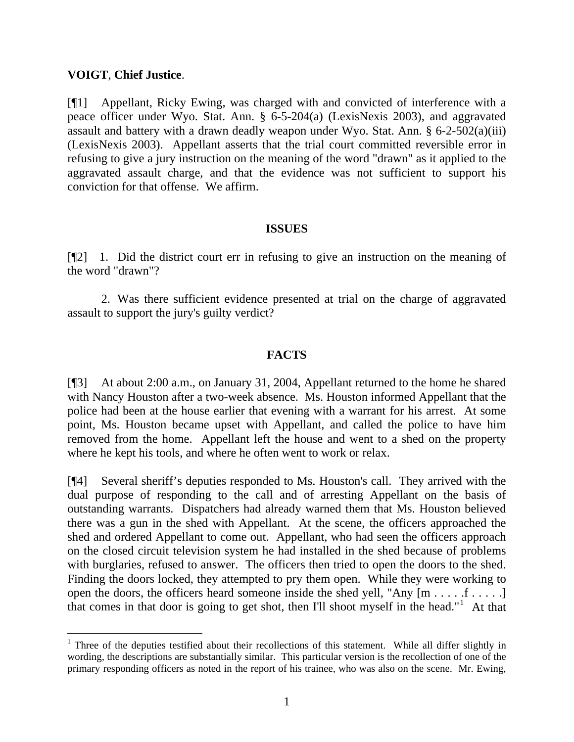#### **VOIGT**, **Chief Justice**.

 $\overline{a}$ 

[¶1] Appellant, Ricky Ewing, was charged with and convicted of interference with a peace officer under Wyo. Stat. Ann. § 6-5-204(a) (LexisNexis 2003), and aggravated assault and battery with a drawn deadly weapon under Wyo. Stat. Ann. § 6-2-502(a)(iii) (LexisNexis 2003). Appellant asserts that the trial court committed reversible error in refusing to give a jury instruction on the meaning of the word "drawn" as it applied to the aggravated assault charge, and that the evidence was not sufficient to support his conviction for that offense. We affirm.

#### **ISSUES**

[¶2] 1. Did the district court err in refusing to give an instruction on the meaning of the word "drawn"?

2. Was there sufficient evidence presented at trial on the charge of aggravated assault to support the jury's guilty verdict?

## **FACTS**

[¶3] At about 2:00 a.m., on January 31, 2004, Appellant returned to the home he shared with Nancy Houston after a two-week absence. Ms. Houston informed Appellant that the police had been at the house earlier that evening with a warrant for his arrest. At some point, Ms. Houston became upset with Appellant, and called the police to have him removed from the home. Appellant left the house and went to a shed on the property where he kept his tools, and where he often went to work or relax.

[¶4] Several sheriff's deputies responded to Ms. Houston's call. They arrived with the dual purpose of responding to the call and of arresting Appellant on the basis of outstanding warrants. Dispatchers had already warned them that Ms. Houston believed there was a gun in the shed with Appellant. At the scene, the officers approached the shed and ordered Appellant to come out. Appellant, who had seen the officers approach on the closed circuit television system he had installed in the shed because of problems with burglaries, refused to answer. The officers then tried to open the doors to the shed. Finding the doors locked, they attempted to pry them open. While they were working to open the doors, the officers heard someone inside the shed yell, "Any  $[m \dots, f \dots]$ that comes in that door is going to get shot, then I'll shoot myself in the head." $1$  At that

<span id="page-1-0"></span><sup>&</sup>lt;sup>1</sup> Three of the deputies testified about their recollections of this statement. While all differ slightly in wording, the descriptions are substantially similar. This particular version is the recollection of one of the primary responding officers as noted in the report of his trainee, who was also on the scene. Mr. Ewing,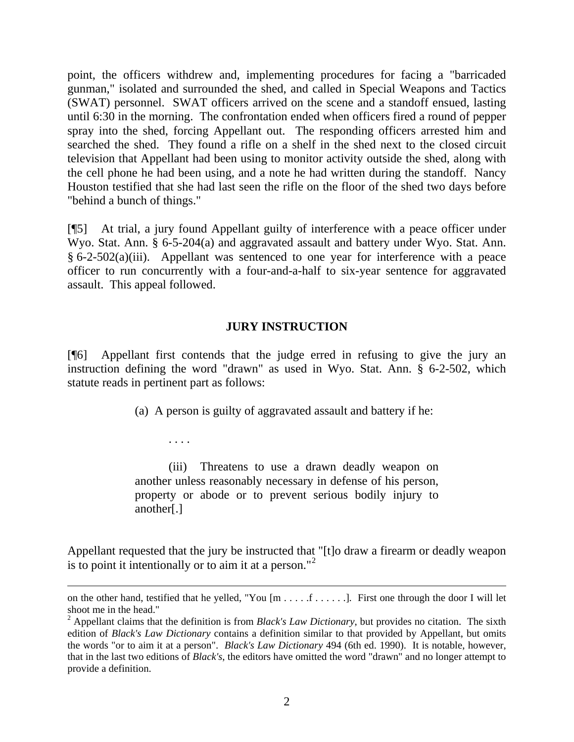point, the officers withdrew and, implementing procedures for facing a "barricaded gunman," isolated and surrounded the shed, and called in Special Weapons and Tactics (SWAT) personnel. SWAT officers arrived on the scene and a standoff ensued, lasting until 6:30 in the morning. The confrontation ended when officers fired a round of pepper spray into the shed, forcing Appellant out. The responding officers arrested him and searched the shed. They found a rifle on a shelf in the shed next to the closed circuit television that Appellant had been using to monitor activity outside the shed, along with the cell phone he had been using, and a note he had written during the standoff. Nancy Houston testified that she had last seen the rifle on the floor of the shed two days before "behind a bunch of things."

[¶5] At trial, a jury found Appellant guilty of interference with a peace officer under Wyo. Stat. Ann. § 6-5-204(a) and aggravated assault and battery under Wyo. Stat. Ann. § 6-2-502(a)(iii). Appellant was sentenced to one year for interference with a peace officer to run concurrently with a four-and-a-half to six-year sentence for aggravated assault. This appeal followed.

#### **JURY INSTRUCTION**

[¶6] Appellant first contends that the judge erred in refusing to give the jury an instruction defining the word "drawn" as used in Wyo. Stat. Ann. § 6-2-502, which statute reads in pertinent part as follows:

(a) A person is guilty of aggravated assault and battery if he:

. . . .

 $\overline{a}$ 

 (iii) Threatens to use a drawn deadly weapon on another unless reasonably necessary in defense of his person, property or abode or to prevent serious bodily injury to another[.]

Appellant requested that the jury be instructed that "[t]o draw a firearm or deadly weapon is to point it intentionally or to aim it at a person."<sup>[2](#page-2-0)</sup>

on the other hand, testified that he yelled, "You [m . . . . .f . . . . .]. First one through the door I will let shoot me in the head."

<span id="page-2-0"></span><sup>&</sup>lt;sup>2</sup> Appellant claims that the definition is from *Black's Law Dictionary*, but provides no citation. The sixth edition of *Black's Law Dictionary* contains a definition similar to that provided by Appellant, but omits the words "or to aim it at a person". *Black's Law Dictionary* 494 (6th ed. 1990). It is notable, however, that in the last two editions of *Black's*, the editors have omitted the word "drawn" and no longer attempt to provide a definition.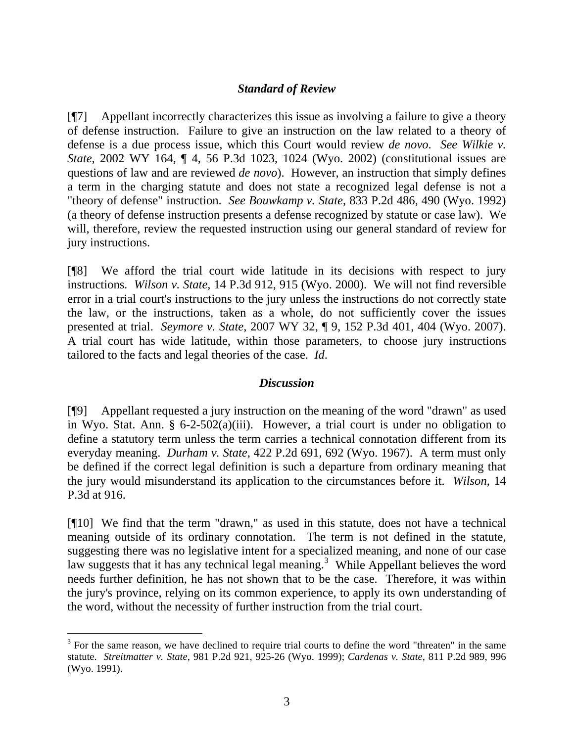## *Standard of Review*

[¶7] Appellant incorrectly characterizes this issue as involving a failure to give a theory of defense instruction. Failure to give an instruction on the law related to a theory of defense is a due process issue, which this Court would review *de novo*. *See Wilkie v. State*, 2002 WY 164, ¶ 4, 56 P.3d 1023, 1024 (Wyo. 2002) (constitutional issues are questions of law and are reviewed *de novo*). However, an instruction that simply defines a term in the charging statute and does not state a recognized legal defense is not a "theory of defense" instruction. *See Bouwkamp v. State*, 833 P.2d 486, 490 (Wyo. 1992) (a theory of defense instruction presents a defense recognized by statute or case law). We will, therefore, review the requested instruction using our general standard of review for jury instructions.

[¶8] We afford the trial court wide latitude in its decisions with respect to jury instructions. *Wilson v. State*, 14 P.3d 912, 915 (Wyo. 2000). We will not find reversible error in a trial court's instructions to the jury unless the instructions do not correctly state the law, or the instructions, taken as a whole, do not sufficiently cover the issues presented at trial. *Seymore v. State*, 2007 WY 32, ¶ 9, 152 P.3d 401, 404 (Wyo. 2007). A trial court has wide latitude, within those parameters, to choose jury instructions tailored to the facts and legal theories of the case. *Id*.

#### *Discussion*

[¶9] Appellant requested a jury instruction on the meaning of the word "drawn" as used in Wyo. Stat. Ann. § 6-2-502(a)(iii). However, a trial court is under no obligation to define a statutory term unless the term carries a technical connotation different from its everyday meaning. *Durham v. State*, 422 P.2d 691, 692 (Wyo. 1967). A term must only be defined if the correct legal definition is such a departure from ordinary meaning that the jury would misunderstand its application to the circumstances before it. *Wilson*, 14 P.3d at 916.

[¶10] We find that the term "drawn," as used in this statute, does not have a technical meaning outside of its ordinary connotation. The term is not defined in the statute, suggesting there was no legislative intent for a specialized meaning, and none of our case law suggests that it has any technical legal meaning.<sup>[3](#page-3-0)</sup> While Appellant believes the word needs further definition, he has not shown that to be the case. Therefore, it was within the jury's province, relying on its common experience, to apply its own understanding of the word, without the necessity of further instruction from the trial court.

 $\overline{a}$ 

<span id="page-3-0"></span> $3$  For the same reason, we have declined to require trial courts to define the word "threaten" in the same statute. *Streitmatter v. State*, 981 P.2d 921, 925-26 (Wyo. 1999); *Cardenas v. State*, 811 P.2d 989, 996 (Wyo. 1991).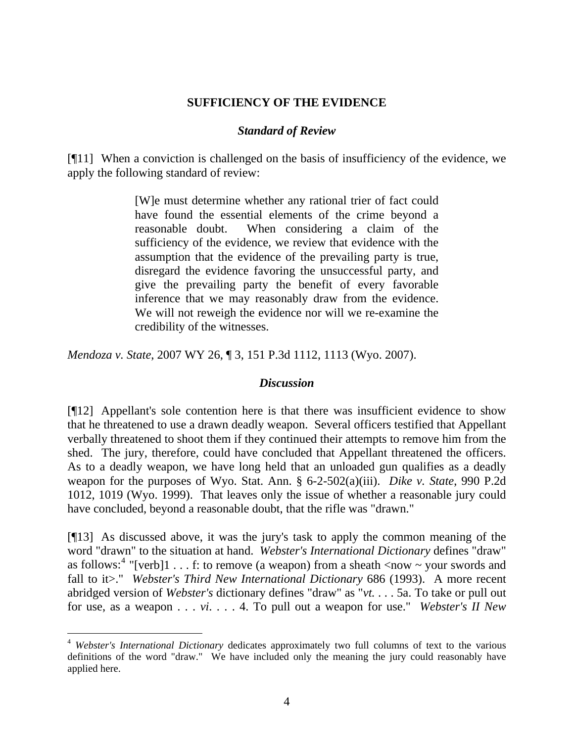### **SUFFICIENCY OF THE EVIDENCE**

### *Standard of Review*

[¶11] When a conviction is challenged on the basis of insufficiency of the evidence, we apply the following standard of review:

> [W]e must determine whether any rational trier of fact could have found the essential elements of the crime beyond a reasonable doubt. When considering a claim of the sufficiency of the evidence, we review that evidence with the assumption that the evidence of the prevailing party is true, disregard the evidence favoring the unsuccessful party, and give the prevailing party the benefit of every favorable inference that we may reasonably draw from the evidence. We will not reweigh the evidence nor will we re-examine the credibility of the witnesses.

*Mendoza v. State*, 2007 WY 26, ¶ 3, 151 P.3d 1112, 1113 (Wyo. 2007).

#### *Discussion*

[¶12] Appellant's sole contention here is that there was insufficient evidence to show that he threatened to use a drawn deadly weapon. Several officers testified that Appellant verbally threatened to shoot them if they continued their attempts to remove him from the shed. The jury, therefore, could have concluded that Appellant threatened the officers. As to a deadly weapon, we have long held that an unloaded gun qualifies as a deadly weapon for the purposes of Wyo. Stat. Ann. § 6-2-502(a)(iii). *Dike v. State*, 990 P.2d 1012, 1019 (Wyo. 1999). That leaves only the issue of whether a reasonable jury could have concluded, beyond a reasonable doubt, that the rifle was "drawn."

[¶13] As discussed above, it was the jury's task to apply the common meaning of the word "drawn" to the situation at hand. *Webster's International Dictionary* defines "draw" as follows:<sup>[4](#page-4-0)</sup> "[verb]1 . . . f: to remove (a weapon) from a sheath  $\langle$  now  $\sim$  your swords and fall to it>." Webster's Third New International Dictionary 686 (1993). A more recent abridged version of *Webster's* dictionary defines "draw" as "*vt.* . . . 5a. To take or pull out for use, as a weapon . . . *vi*. . . . 4. To pull out a weapon for use." *Webster's II New* 

 $\overline{a}$ 

<span id="page-4-0"></span><sup>4</sup> *Webster's International Dictionary* dedicates approximately two full columns of text to the various definitions of the word "draw." We have included only the meaning the jury could reasonably have applied here.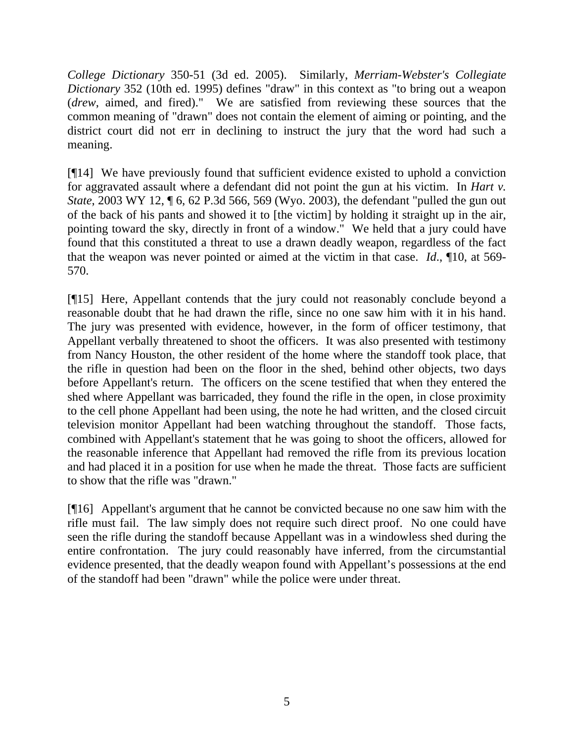*College Dictionary* 350-51 (3d ed. 2005). Similarly, *Merriam-Webster's Collegiate Dictionary* 352 (10th ed. 1995) defines "draw" in this context as "to bring out a weapon (*drew*, aimed, and fired)." We are satisfied from reviewing these sources that the common meaning of "drawn" does not contain the element of aiming or pointing, and the district court did not err in declining to instruct the jury that the word had such a meaning.

[¶14] We have previously found that sufficient evidence existed to uphold a conviction for aggravated assault where a defendant did not point the gun at his victim. In *Hart v. State*, 2003 WY 12, ¶ 6, 62 P.3d 566, 569 (Wyo. 2003), the defendant "pulled the gun out of the back of his pants and showed it to [the victim] by holding it straight up in the air, pointing toward the sky, directly in front of a window." We held that a jury could have found that this constituted a threat to use a drawn deadly weapon, regardless of the fact that the weapon was never pointed or aimed at the victim in that case. *Id*., ¶10, at 569- 570.

[¶15] Here, Appellant contends that the jury could not reasonably conclude beyond a reasonable doubt that he had drawn the rifle, since no one saw him with it in his hand. The jury was presented with evidence, however, in the form of officer testimony, that Appellant verbally threatened to shoot the officers. It was also presented with testimony from Nancy Houston, the other resident of the home where the standoff took place, that the rifle in question had been on the floor in the shed, behind other objects, two days before Appellant's return. The officers on the scene testified that when they entered the shed where Appellant was barricaded, they found the rifle in the open, in close proximity to the cell phone Appellant had been using, the note he had written, and the closed circuit television monitor Appellant had been watching throughout the standoff. Those facts, combined with Appellant's statement that he was going to shoot the officers, allowed for the reasonable inference that Appellant had removed the rifle from its previous location and had placed it in a position for use when he made the threat. Those facts are sufficient to show that the rifle was "drawn."

[¶16] Appellant's argument that he cannot be convicted because no one saw him with the rifle must fail. The law simply does not require such direct proof. No one could have seen the rifle during the standoff because Appellant was in a windowless shed during the entire confrontation. The jury could reasonably have inferred, from the circumstantial evidence presented, that the deadly weapon found with Appellant's possessions at the end of the standoff had been "drawn" while the police were under threat.